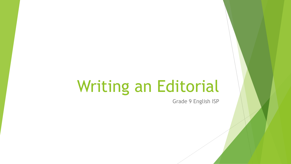# Writing an Editorial

Grade 9 English ISP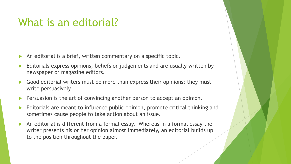#### What is an editorial?

- An editorial is a brief, written commentary on a specific topic.
- Editorials express opinions, beliefs or judgements and are usually written by newspaper or magazine editors.
- Good editorial writers must do more than express their opinions; they must write persuasively.
- Persuasion is the art of convincing another person to accept an opinion.
- Editorials are meant to influence public opinion, promote critical thinking and sometimes cause people to take action about an issue.
- An editorial is different from a formal essay. Whereas in a formal essay the writer presents his or her opinion almost immediately, an editorial builds up to the position throughout the paper.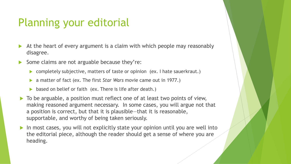## Planning your editorial

- At the heart of every argument is a claim with which people may reasonably disagree.
- Some claims are not arguable because they're:
	- ▶ completely subjective, matters of taste or opinion (ex. I hate sauerkraut.)
	- a matter of fact (ex. The first *Star Wars* movie came out in 1977.)
	- $\triangleright$  based on belief or faith (ex. There is life after death.)
- To be arguable, a position must reflect one of at least two points of view, making reasoned argument necessary. In some cases, you will argue not that a position is correct, but that it is plausible—that it is reasonable, supportable, and worthy of being taken seriously.
- In most cases, you will not explicitly state your opinion until you are well into the editorial piece, although the reader should get a sense of where you are heading.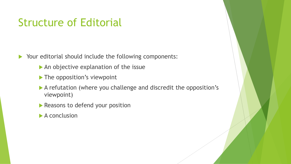## Structure of Editorial

Your editorial should include the following components:

- An objective explanation of the issue
- The opposition's viewpoint
- A refutation (where you challenge and discredit the opposition's viewpoint)
- Reasons to defend your position
- $\blacktriangleright$  A conclusion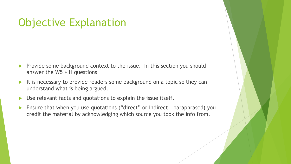## Objective Explanation

- Provide some background context to the issue. In this section you should answer the W5 + H questions
- It is necessary to provide readers some background on a topic so they can understand what is being argued.
- Use relevant facts and quotations to explain the issue itself.
- Ensure that when you use quotations ("direct" or indirect paraphrased) you credit the material by acknowledging which source you took the info from.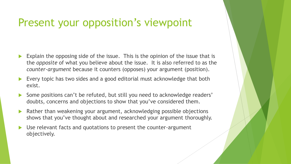#### Present your opposition's viewpoint

- Explain the opposing side of the issue. This is the opinion of the issue that is the *opposite* of what you believe about the issue. It is also referred to as the *counter-argument* because it counters (opposes) your argument (position).
- Every topic has two sides and a good editorial must acknowledge that both exist.
- Some positions can't be refuted, but still you need to acknowledge readers' doubts, concerns and objections to show that you've considered them.
- ▶ Rather than weakening your argument, acknowledging possible objections shows that you've thought about and researched your argument thoroughly.
- Use relevant facts and quotations to present the counter-argument objectively.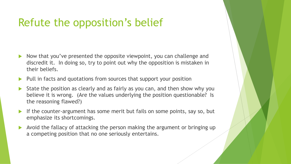## Refute the opposition's belief

- Now that you've presented the opposite viewpoint, you can challenge and discredit it. In doing so, try to point out why the opposition is mistaken in their beliefs.
- $\blacktriangleright$  Pull in facts and quotations from sources that support your position
- State the position as clearly and as fairly as you can, and then show why you believe it is wrong. (Are the values underlying the position questionable? Is the reasoning flawed?)
- If the counter-argument has some merit but fails on some points, say so, but emphasize its shortcomings.
- Avoid the fallacy of attacking the person making the argument or bringing up a competing position that no one seriously entertains.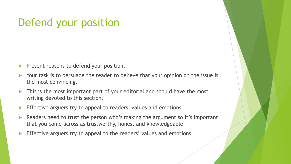## Defend your position

- Present reasons to defend your position.
- Your task is to persuade the reader to believe that your opinion on the issue is the most convincing.
- This is the most important part of your editorial and should have the most writing devoted to this section.
- Effective arguers try to appeal to readers' values and emotions
- Readers need to trust the person who's making the argument so it's important that you come across as trustworthy, honest and knowledgeable
- Effective arguers try to appeal to the readers' values and emotions.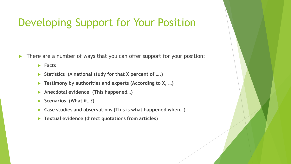#### Developing Support for Your Position

There are a number of ways that you can offer support for your position:

**Facts**

- **Statistics (A national study for that X percent of ….)**
- **Testimony by authorities and experts (According to X, …)**
- **Anecdotal evidence (This happened…)**
- **Scenarios (What if…?)**
- **Case studies and observations (This is what happened when…)**
- **Textual evidence (direct quotations from articles)**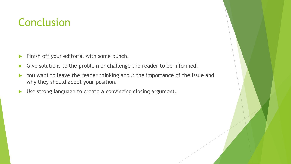#### **Conclusion**

- Finish off your editorial with some punch.
- Give solutions to the problem or challenge the reader to be informed.
- You want to leave the reader thinking about the importance of the issue and why they should adopt your position.
- Use strong language to create a convincing closing argument.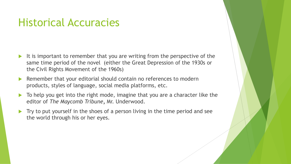#### Historical Accuracies

- It is important to remember that you are writing from the perspective of the same time period of the novel (either the Great Depression of the 1930s or the Civil Rights Movement of the 1960s)
- Remember that your editorial should contain no references to modern products, styles of language, social media platforms, etc.
- To help you get into the right mode, imagine that you are a character like the editor of *The Maycomb Tribune,* Mr. Underwood.
- Try to put yourself in the shoes of a person living in the time period and see the world through his or her eyes.